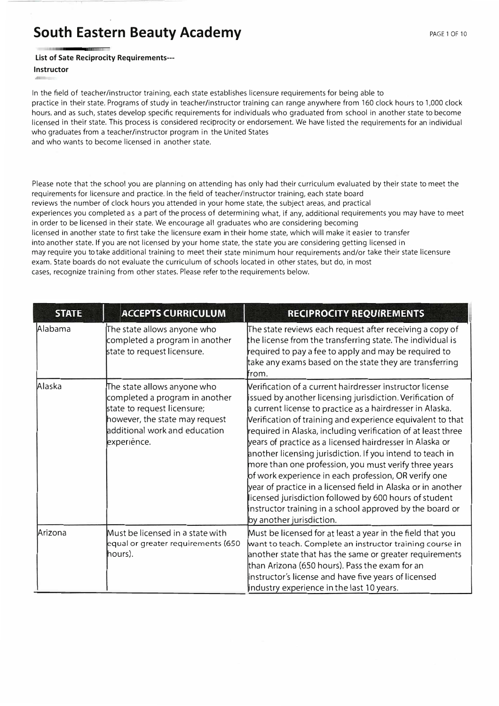**List of Sat<sup>e</sup> Reciprocity Requirements---**

## **Instructor**

In the field of teacher/instructor training, each state establishes licensure requirements for being able to practice in their state. Programs of study in teacher/instructor training can range anywhere from 160 clock hours to 1,000 clock hours, and as such, states develop specific requirements for individuals who graduated from school in another state to become licensed in their state. This process is considered reciprocity or endorsement. We have listed the requirements for an individual who graduates from a teacher/instructor program in the United States and who wants to become licensed in another state.

Please note that the school you are planning on attending has only had their curriculum evaluated by their state to meet the requirements for licensure and practice. In the field of teacher/instructor training, each state board reviews the number of clock hours you attended in your home state, the subject areas, and practical experiences you completed as a part of the process of determining what, if any, additional requirements you may have to meet in order to be licensed in their state. We encourage all graduates who are considering becoming licensed in another state to first take the licensure exam in their home state, which will make it easier to transfer into another state. If you are not licensed by your home state, the state you are considering getting licensed in may require you to take additional training to meet their state minimum hour requirements and/or take their state licensure exam. State boards do not evaluate the curriculum of schools located in other states, but do, in most

cases, recognize training from other states. Please refer to the requirements below.

| <b>STATE</b> | <b>ACCEPTS CURRICULUM</b>                                                                                                                                                      | <b>RECIPROCITY REQUIREMENTS</b>                                                                                                                                                                                                                                                                                                                                                                                                                                                                                                                                                                                                                                                                                                                                              |
|--------------|--------------------------------------------------------------------------------------------------------------------------------------------------------------------------------|------------------------------------------------------------------------------------------------------------------------------------------------------------------------------------------------------------------------------------------------------------------------------------------------------------------------------------------------------------------------------------------------------------------------------------------------------------------------------------------------------------------------------------------------------------------------------------------------------------------------------------------------------------------------------------------------------------------------------------------------------------------------------|
| Alabama      | The state allows anyone who<br>completed a program in another<br>state to request licensure.                                                                                   | The state reviews each request after receiving a copy of<br>the license from the transferring state. The individual is<br>required to pay a fee to apply and may be required to<br>take any exams based on the state they are transferring<br>from.                                                                                                                                                                                                                                                                                                                                                                                                                                                                                                                          |
| Alaska       | The state allows anyone who<br>completed a program in another<br>state to request licensure;<br>however, the state may request<br>additional work and education<br>experience. | Nerification of a current hairdresser instructor license<br>issued by another licensing jurisdiction. Verification of<br>a current license to practice as a hairdresser in Alaska.<br>Verification of training and experience equivalent to that<br>required in Alaska, including verification of at least three<br>years of practice as a licensed hairdresser in Alaska or<br>another licensing jurisdiction. If you intend to teach in<br>more than one profession, you must verify three years<br>of work experience in each profession, OR verify one<br>year of practice in a licensed field in Alaska or in another<br>licensed jurisdiction followed by 600 hours of student<br>instructor training in a school approved by the board or<br>by another jurisdiction. |
| Arizona      | Must be licensed in a state with<br>equal or greater requirements (650<br>(hours).                                                                                             | Must be licensed for at least a year in the field that you<br>want to teach. Complete an instructor training course in<br>another state that has the same or greater requirements<br>than Arizona (650 hours). Pass the exam for an<br>linstructor's license and have five years of licensed<br>lindustry experience in the last 10 years.                                                                                                                                                                                                                                                                                                                                                                                                                                   |

## **South Eastern Beauty Academy**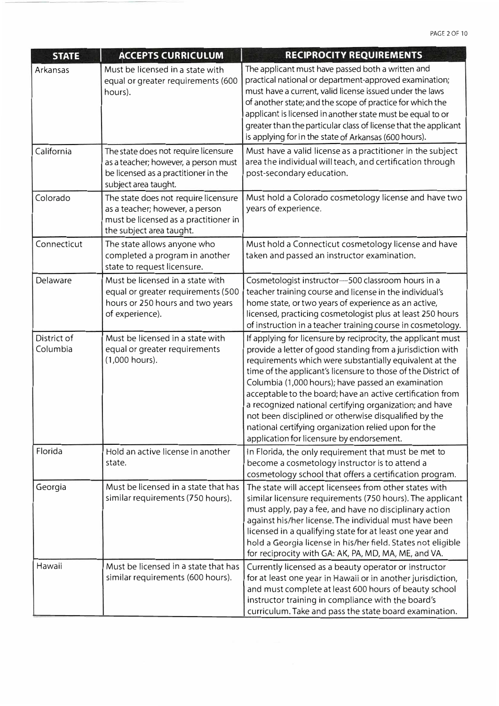| <b>STATE</b>            | <b>ACCEPTS CURRICULUM</b>                                                                                                                    | RECIPROCITY REQUIREMENTS                                                                                                                                                                                                                                                                                                                                                                                                                                                                                                                                                                            |
|-------------------------|----------------------------------------------------------------------------------------------------------------------------------------------|-----------------------------------------------------------------------------------------------------------------------------------------------------------------------------------------------------------------------------------------------------------------------------------------------------------------------------------------------------------------------------------------------------------------------------------------------------------------------------------------------------------------------------------------------------------------------------------------------------|
| Arkansas                | Must be licensed in a state with<br>equal or greater requirements (600<br>hours).                                                            | The applicant must have passed both a written and<br>practical national or department-approved examination;<br>must have a current, valid license issued under the laws<br>of another state; and the scope of practice for which the<br>applicant is licensed in another state must be equal to or<br>greater than the particular class of license that the applicant<br>is applying for in the state of Arkansas (600 hours).                                                                                                                                                                      |
| California              | The state does not require licensure<br>as a teacher; however, a person must<br>be licensed as a practitioner in the<br>subject area taught. | Must have a valid license as a practitioner in the subject<br>area the individual will teach, and certification through<br>post-secondary education.                                                                                                                                                                                                                                                                                                                                                                                                                                                |
| Colorado                | The state does not require licensure<br>as a teacher; however, a person<br>must be licensed as a practitioner in<br>the subject area taught. | Must hold a Colorado cosmetology license and have two<br>years of experience.                                                                                                                                                                                                                                                                                                                                                                                                                                                                                                                       |
| Connecticut             | The state allows anyone who<br>completed a program in another<br>state to request licensure.                                                 | Must hold a Connecticut cosmetology license and have<br>taken and passed an instructor examination.                                                                                                                                                                                                                                                                                                                                                                                                                                                                                                 |
| Delaware                | Must be licensed in a state with<br>equal or greater requirements (500<br>hours or 250 hours and two years<br>of experience).                | Cosmetologist instructor-500 classroom hours in a<br>teacher training course and license in the individual's<br>home state, or two years of experience as an active,<br>licensed, practicing cosmetologist plus at least 250 hours<br>of instruction in a teacher training course in cosmetology.                                                                                                                                                                                                                                                                                                   |
| District of<br>Columbia | Must be licensed in a state with<br>equal or greater requirements<br>$(1,000$ hours).                                                        | If applying for licensure by reciprocity, the applicant must<br>provide a letter of good standing from a jurisdiction with<br>requirements which were substantially equivalent at the<br>time of the applicant's licensure to those of the District of<br>Columbia (1,000 hours); have passed an examination<br>acceptable to the board; have an active certification from<br>a recognized national certifying organization; and have<br>not been disciplined or otherwise disqualified by the<br>national certifying organization relied upon for the<br>application for licensure by endorsement. |
| Florida                 | Hold an active license in another<br>state.                                                                                                  | In Florida, the only requirement that must be met to<br>become a cosmetology instructor is to attend a<br>cosmetology school that offers a certification program.                                                                                                                                                                                                                                                                                                                                                                                                                                   |
| Georgia                 | Must be licensed in a state that has<br>similar requirements (750 hours).                                                                    | The state will accept licensees from other states with<br>similar licensure requirements (750 hours). The applicant<br>must apply, pay a fee, and have no disciplinary action<br>against his/her license. The individual must have been<br>licensed in a qualifying state for at least one year and<br>hold a Georgia license in his/her field. States not eligible<br>for reciprocity with GA: AK, PA, MD, MA, ME, and VA.                                                                                                                                                                         |
| Hawaii                  | Must be licensed in a state that has<br>similar requirements (600 hours).                                                                    | Currently licensed as a beauty operator or instructor<br>for at least one year in Hawaii or in another jurisdiction,<br>and must complete at least 600 hours of beauty school<br>instructor training in compliance with the board's<br>curriculum. Take and pass the state board examination.                                                                                                                                                                                                                                                                                                       |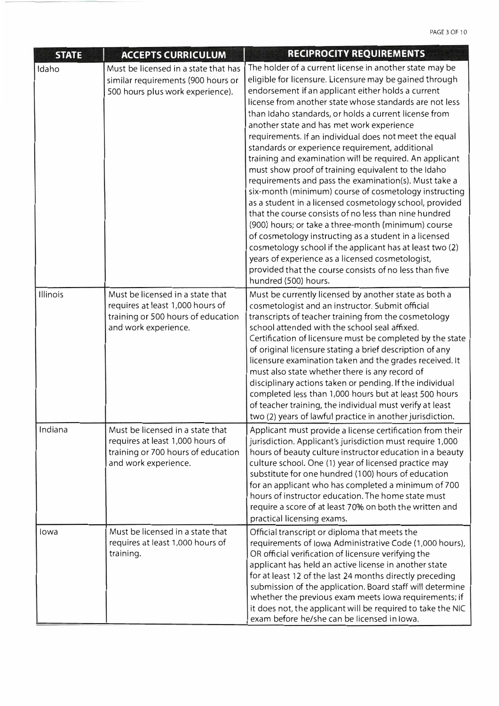| <b>STATE</b> | <b>ACCEPTS CURRICULUM</b>                                                                                                          | RECIPROCITY REQUIREMENTS                                                                                                                                                                                                                                                                                                                                                                                                                                                                                                                                                                                                                                                                                                                                                                                                                                                                                                                                                                                                                                                                                                         |
|--------------|------------------------------------------------------------------------------------------------------------------------------------|----------------------------------------------------------------------------------------------------------------------------------------------------------------------------------------------------------------------------------------------------------------------------------------------------------------------------------------------------------------------------------------------------------------------------------------------------------------------------------------------------------------------------------------------------------------------------------------------------------------------------------------------------------------------------------------------------------------------------------------------------------------------------------------------------------------------------------------------------------------------------------------------------------------------------------------------------------------------------------------------------------------------------------------------------------------------------------------------------------------------------------|
| Idaho        | Must be licensed in a state that has<br>similar requirements (900 hours or<br>500 hours plus work experience).                     | The holder of a current license in another state may be<br>eligible for licensure. Licensure may be gained through<br>endorsement if an applicant either holds a current<br>license from another state whose standards are not less<br>than Idaho standards, or holds a current license from<br>another state and has met work experience<br>requirements. If an individual does not meet the equal<br>standards or experience requirement, additional<br>training and examination will be required. An applicant<br>must show proof of training equivalent to the Idaho<br>requirements and pass the examination(s). Must take a<br>six-month (minimum) course of cosmetology instructing<br>as a student in a licensed cosmetology school, provided<br>that the course consists of no less than nine hundred<br>(900) hours; or take a three-month (minimum) course<br>of cosmetology instructing as a student in a licensed<br>cosmetology school if the applicant has at least two (2)<br>years of experience as a licensed cosmetologist,<br>provided that the course consists of no less than five<br>hundred (500) hours. |
| Illinois     | Must be licensed in a state that<br>requires at least 1,000 hours of<br>training or 500 hours of education<br>and work experience. | Must be currently licensed by another state as both a<br>cosmetologist and an instructor. Submit official<br>transcripts of teacher training from the cosmetology<br>school attended with the school seal affixed.<br>Certification of licensure must be completed by the state<br>of original licensure stating a brief description of any<br>licensure examination taken and the grades received. It<br>must also state whether there is any record of<br>disciplinary actions taken or pending. If the individual<br>completed less than 1,000 hours but at least 500 hours<br>of teacher training, the individual must verify at least<br>two (2) years of lawful practice in another jurisdiction.                                                                                                                                                                                                                                                                                                                                                                                                                          |
| Indiana      | Must be licensed in a state that<br>requires at least 1,000 hours of<br>training or 700 hours of education<br>and work experience. | Applicant must provide a license certification from their<br>jurisdiction. Applicant's jurisdiction must require 1,000<br>hours of beauty culture instructor education in a beauty<br>culture school. One (1) year of licensed practice may<br>substitute for one hundred (100) hours of education<br>for an applicant who has completed a minimum of 700<br>hours of instructor education. The home state must<br>require a score of at least 70% on both the written and<br>practical licensing exams.                                                                                                                                                                                                                                                                                                                                                                                                                                                                                                                                                                                                                         |
| lowa         | Must be licensed in a state that<br>requires at least 1,000 hours of<br>training.                                                  | Official transcript or diploma that meets the<br>requirements of Iowa Administrative Code (1,000 hours),<br>OR official verification of licensure verifying the<br>applicant has held an active license in another state<br>for at least 12 of the last 24 months directly preceding<br>submission of the application. Board staff will determine<br>whether the previous exam meets lowa requirements; if<br>it does not, the applicant will be required to take the NIC<br>exam before he/she can be licensed in Iowa.                                                                                                                                                                                                                                                                                                                                                                                                                                                                                                                                                                                                         |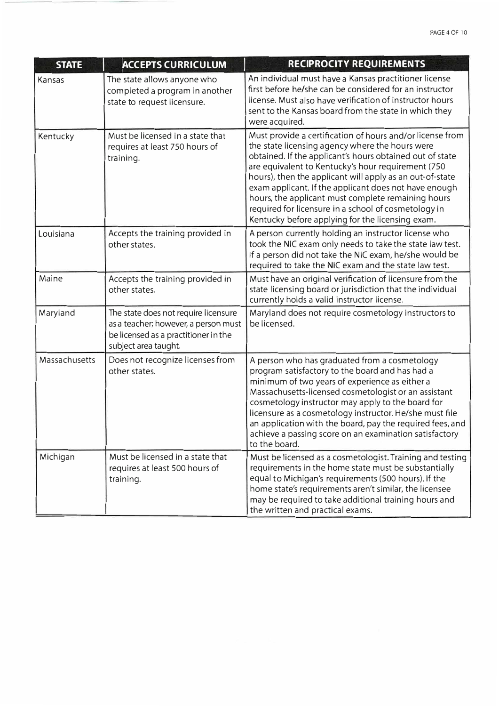| <b>STATE</b>  | <b>ACCEPTS CURRICULUM</b>                                                                                                                    | RECIPROCITY REQUIREMENTS                                                                                                                                                                                                                                                                                                                                                                                                                                                                                               |
|---------------|----------------------------------------------------------------------------------------------------------------------------------------------|------------------------------------------------------------------------------------------------------------------------------------------------------------------------------------------------------------------------------------------------------------------------------------------------------------------------------------------------------------------------------------------------------------------------------------------------------------------------------------------------------------------------|
| Kansas        | The state allows anyone who<br>completed a program in another<br>state to request licensure.                                                 | An individual must have a Kansas practitioner license<br>first before he/she can be considered for an instructor<br>license. Must also have verification of instructor hours<br>sent to the Kansas board from the state in which they<br>were acquired.                                                                                                                                                                                                                                                                |
| Kentucky      | Must be licensed in a state that<br>requires at least 750 hours of<br>training.                                                              | Must provide a certification of hours and/or license from<br>the state licensing agency where the hours were<br>obtained. If the applicant's hours obtained out of state<br>are equivalent to Kentucky's hour requirement (750)<br>hours), then the applicant will apply as an out-of-state<br>exam applicant. If the applicant does not have enough<br>hours, the applicant must complete remaining hours<br>required for licensure in a school of cosmetology in<br>Kentucky before applying for the licensing exam. |
| Louisiana     | Accepts the training provided in<br>other states.                                                                                            | A person currently holding an instructor license who<br>took the NIC exam only needs to take the state law test.<br>If a person did not take the NIC exam, he/she would be<br>required to take the NIC exam and the state law test.                                                                                                                                                                                                                                                                                    |
| Maine         | Accepts the training provided in<br>other states.                                                                                            | Must have an original verification of licensure from the<br>state licensing board or jurisdiction that the individual<br>currently holds a valid instructor license.                                                                                                                                                                                                                                                                                                                                                   |
| Maryland      | The state does not require licensure<br>as a teacher; however, a person must<br>be licensed as a practitioner in the<br>subject area taught. | Maryland does not require cosmetology instructors to<br>be licensed.                                                                                                                                                                                                                                                                                                                                                                                                                                                   |
| Massachusetts | Does not recognize licenses from<br>other states.                                                                                            | A person who has graduated from a cosmetology<br>program satisfactory to the board and has had a<br>minimum of two years of experience as either a<br>Massachusetts-licensed cosmetologist or an assistant<br>cosmetology instructor may apply to the board for<br>licensure as a cosmetology instructor. He/she must file<br>an application with the board, pay the required fees, and<br>achieve a passing score on an examination satisfactory<br>to the board.                                                     |
| Michigan      | Must be licensed in a state that<br>requires at least 500 hours of<br>training.                                                              | Must be licensed as a cosmetologist. Training and testing<br>requirements in the home state must be substantially<br>equal to Michigan's requirements (500 hours). If the<br>home state's requirements aren't similar, the licensee<br>may be required to take additional training hours and<br>the written and practical exams.                                                                                                                                                                                       |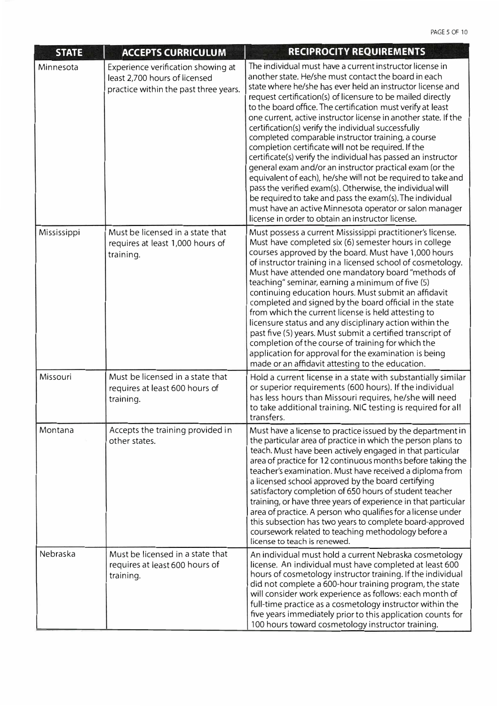| <b>STATE</b> | <b>ACCEPTS CURRICULUM</b>                                                                                    | <b>RECIPROCITY REQUIREMENTS</b>                                                                                                                                                                                                                                                                                                                                                                                                                                                                                                                                                                                                                                                                                                                                                                                                                                                                                                                                                           |
|--------------|--------------------------------------------------------------------------------------------------------------|-------------------------------------------------------------------------------------------------------------------------------------------------------------------------------------------------------------------------------------------------------------------------------------------------------------------------------------------------------------------------------------------------------------------------------------------------------------------------------------------------------------------------------------------------------------------------------------------------------------------------------------------------------------------------------------------------------------------------------------------------------------------------------------------------------------------------------------------------------------------------------------------------------------------------------------------------------------------------------------------|
| Minnesota    | Experience verification showing at<br>least 2,700 hours of licensed<br>practice within the past three years. | The individual must have a current instructor license in<br>another state. He/she must contact the board in each<br>state where he/she has ever held an instructor license and<br>request certification(s) of licensure to be mailed directly<br>to the board office. The certification must verify at least<br>one current, active instructor license in another state. If the<br>certification(s) verify the individual successfully<br>completed comparable instructor training, a course<br>completion certificate will not be required. If the<br>certificate(s) verify the individual has passed an instructor<br>general exam and/or an instructor practical exam (or the<br>equivalent of each), he/she will not be required to take and<br>pass the verified exam(s). Otherwise, the individual will<br>be required to take and pass the exam(s). The individual<br>must have an active Minnesota operator or salon manager<br>license in order to obtain an instructor license. |
| Mississippi  | Must be licensed in a state that<br>requires at least 1,000 hours of<br>training.                            | Must possess a current Mississippi practitioner's license.<br>Must have completed six (6) semester hours in college<br>courses approved by the board. Must have 1,000 hours<br>of instructor training in a licensed school of cosmetology.<br>Must have attended one mandatory board "methods of<br>teaching" seminar, earning a minimum of five (5)<br>continuing education hours. Must submit an affidavit<br>completed and signed by the board official in the state<br>from which the current license is held attesting to<br>licensure status and any disciplinary action within the<br>past five (5) years. Must submit a certified transcript of<br>completion of the course of training for which the<br>application for approval for the examination is being<br>made or an affidavit attesting to the education.                                                                                                                                                                |
| Missouri     | Must be licensed in a state that<br>requires at least 600 hours of<br>training.                              | Hold a current license in a state with substantially similar<br>or superior requirements (600 hours). If the individual<br>has less hours than Missouri requires, he/she will need<br>to take additional training. NIC testing is required for all<br>transfers.                                                                                                                                                                                                                                                                                                                                                                                                                                                                                                                                                                                                                                                                                                                          |
| Montana      | Accepts the training provided in<br>other states.                                                            | Must have a license to practice issued by the department in<br>the particular area of practice in which the person plans to<br>teach. Must have been actively engaged in that particular<br>area of practice for 12 continuous months before taking the<br>teacher's examination. Must have received a diploma from<br>a licensed school approved by the board certifying<br>satisfactory completion of 650 hours of student teacher<br>training, or have three years of experience in that particular<br>area of practice. A person who qualifies for a license under<br>this subsection has two years to complete board-approved<br>coursework related to teaching methodology before a<br>license to teach is renewed.                                                                                                                                                                                                                                                                 |
| Nebraska     | Must be licensed in a state that<br>requires at least 600 hours of<br>training.                              | An individual must hold a current Nebraska cosmetology<br>license. An individual must have completed at least 600<br>hours of cosmetology instructor training. If the individual<br>did not complete a 600-hour training program, the state<br>will consider work experience as follows: each month of<br>full-time practice as a cosmetology instructor within the<br>five years immediately prior to this application counts for<br>100 hours toward cosmetology instructor training.                                                                                                                                                                                                                                                                                                                                                                                                                                                                                                   |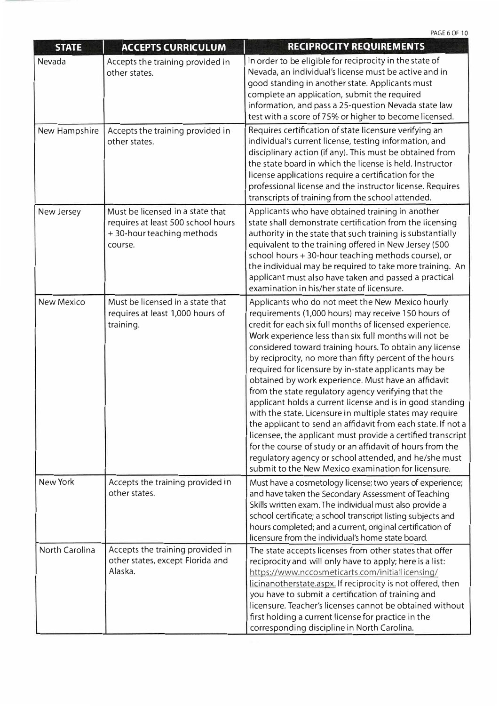PAGE 6 OF 10

| <b>STATE</b>          | <b>ACCEPTS CURRICULUM</b>                                                                                         | <b>RECIPROCITY REQUIREMENTS</b>                                                                                                                                                                                                                                                                                                                                                                                                                                                                                                                                                                                                                                                                                                                                                                                                                                                                                                                              |
|-----------------------|-------------------------------------------------------------------------------------------------------------------|--------------------------------------------------------------------------------------------------------------------------------------------------------------------------------------------------------------------------------------------------------------------------------------------------------------------------------------------------------------------------------------------------------------------------------------------------------------------------------------------------------------------------------------------------------------------------------------------------------------------------------------------------------------------------------------------------------------------------------------------------------------------------------------------------------------------------------------------------------------------------------------------------------------------------------------------------------------|
| Nevada                | Accepts the training provided in<br>other states.                                                                 | In order to be eligible for reciprocity in the state of<br>Nevada, an individual's license must be active and in<br>good standing in another state. Applicants must<br>complete an application, submit the required<br>information, and pass a 25-question Nevada state law<br>test with a score of 75% or higher to become licensed.                                                                                                                                                                                                                                                                                                                                                                                                                                                                                                                                                                                                                        |
| New Hampshire         | Accepts the training provided in<br>other states.                                                                 | Requires certification of state licensure verifying an<br>individual's current license, testing information, and<br>disciplinary action (if any). This must be obtained from<br>the state board in which the license is held. Instructor<br>license applications require a certification for the<br>professional license and the instructor license. Requires<br>transcripts of training from the school attended.                                                                                                                                                                                                                                                                                                                                                                                                                                                                                                                                           |
| New Jersey            | Must be licensed in a state that<br>requires at least 500 school hours<br>$+$ 30-hour teaching methods<br>course. | Applicants who have obtained training in another<br>state shall demonstrate certification from the licensing<br>authority in the state that such training is substantially<br>equivalent to the training offered in New Jersey (500<br>school hours + 30-hour teaching methods course), or<br>the individual may be required to take more training. An<br>applicant must also have taken and passed a practical<br>examination in his/her state of licensure.                                                                                                                                                                                                                                                                                                                                                                                                                                                                                                |
| <b>New Mexico</b>     | Must be licensed in a state that<br>requires at least 1,000 hours of<br>training.                                 | Applicants who do not meet the New Mexico hourly<br>requirements (1,000 hours) may receive 150 hours of<br>credit for each six full months of licensed experience.<br>Work experience less than six full months will not be<br>considered toward training hours. To obtain any license<br>by reciprocity, no more than fifty percent of the hours<br>required for licensure by in-state applicants may be<br>obtained by work experience. Must have an affidavit<br>from the state regulatory agency verifying that the<br>applicant holds a current license and is in good standing<br>with the state. Licensure in multiple states may require<br>the applicant to send an affidavit from each state. If not a<br>licensee, the applicant must provide a certified transcript<br>for the course of study or an affidavit of hours from the<br>regulatory agency or school attended, and he/she must<br>submit to the New Mexico examination for licensure. |
| New York              | Accepts the training provided in<br>other states.                                                                 | Must have a cosmetology license; two years of experience;<br>and have taken the Secondary Assessment of Teaching<br>Skills written exam. The individual must also provide a<br>school certificate; a school transcript listing subjects and<br>hours completed; and a current, original certification of<br>licensure from the individual's home state board.                                                                                                                                                                                                                                                                                                                                                                                                                                                                                                                                                                                                |
| <b>North Carolina</b> | Accepts the training provided in<br>other states, except Florida and<br>Alaska.                                   | The state accepts licenses from other states that offer<br>reciprocity and will only have to apply; here is a list:<br>https://www.nccosmeticarts.com/initiallicensing/<br>licinanotherstate.aspx. If reciprocity is not offered, then<br>you have to submit a certification of training and<br>licensure. Teacher's licenses cannot be obtained without<br>first holding a current license for practice in the<br>corresponding discipline in North Carolina.                                                                                                                                                                                                                                                                                                                                                                                                                                                                                               |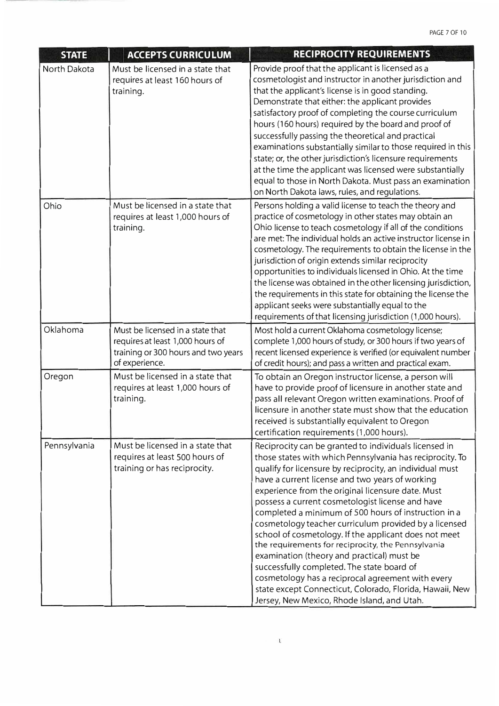| <b>STATE</b> | <b>ACCEPTS CURRICULUM</b>                                                                                                     | <b>RECIPROCITY REQUIREMENTS</b>                                                                                                                                                                                                                                                                                                                                                                                                                                                                                                                                                                                                                                                                       |
|--------------|-------------------------------------------------------------------------------------------------------------------------------|-------------------------------------------------------------------------------------------------------------------------------------------------------------------------------------------------------------------------------------------------------------------------------------------------------------------------------------------------------------------------------------------------------------------------------------------------------------------------------------------------------------------------------------------------------------------------------------------------------------------------------------------------------------------------------------------------------|
| North Dakota | Must be licensed in a state that<br>requires at least 160 hours of<br>training.                                               | Provide proof that the applicant is licensed as a<br>cosmetologist and instructor in another jurisdiction and<br>that the applicant's license is in good standing.<br>Demonstrate that either: the applicant provides<br>satisfactory proof of completing the course curriculum<br>hours (160 hours) required by the board and proof of<br>successfully passing the theoretical and practical<br>examinations substantially similar to those required in this<br>state; or, the other jurisdiction's licensure requirements<br>at the time the applicant was licensed were substantially<br>equal to those in North Dakota. Must pass an examination<br>on North Dakota laws, rules, and regulations. |
| Ohio         | Must be licensed in a state that<br>requires at least 1,000 hours of<br>training.                                             | Persons holding a valid license to teach the theory and<br>practice of cosmetology in other states may obtain an<br>Ohio license to teach cosmetology if all of the conditions<br>are met: The individual holds an active instructor license in<br>cosmetology. The requirements to obtain the license in the<br>jurisdiction of origin extends similar reciprocity<br>opportunities to individuals licensed in Ohio. At the time<br>the license was obtained in the other licensing jurisdiction,<br>the requirements in this state for obtaining the license the<br>applicant seeks were substantially equal to the<br>requirements of that licensing jurisdiction (1,000 hours).                   |
| Oklahoma     | Must be licensed in a state that<br>requires at least 1,000 hours of<br>training or 300 hours and two years<br>of experience. | Most hold a current Oklahoma cosmetology license;<br>complete 1,000 hours of study, or 300 hours if two years of<br>recent licensed experience is verified (or equivalent number<br>of credit hours); and pass a written and practical exam.                                                                                                                                                                                                                                                                                                                                                                                                                                                          |
| Oregon       | Must be licensed in a state that<br>requires at least 1,000 hours of<br>training.                                             | To obtain an Oregon instructor license, a person will<br>have to provide proof of licensure in another state and<br>pass all relevant Oregon written examinations. Proof of<br>licensure in another state must show that the education<br>received is substantially equivalent to Oregon<br>certification requirements (1,000 hours).                                                                                                                                                                                                                                                                                                                                                                 |
| Pennsylvania | Must be licensed in a state that<br>requires at least 500 hours of<br>training or has reciprocity.                            | Reciprocity can be granted to individuals licensed in<br>those states with which Pennsylvania has reciprocity. To<br>qualify for licensure by reciprocity, an individual must<br>have a current license and two years of working<br>experience from the original licensure date. Must<br>possess a current cosmetologist license and have<br>completed a minimum of 500 hours of instruction in a<br>cosmetology teacher curriculum provided by a licensed<br>school of cosmetology. If the applicant does not meet                                                                                                                                                                                   |

the requirements for reciprocity, the Pennsylvania examination (theory and practical) must be successfully completed. The state board of cosmetology has a reciprocal agreement with every state except Connecticut, Colorado, Florida, Hawaii, New Jersey, New Mexico, Rhode Island, and Utah.

 $\mathbb{L}$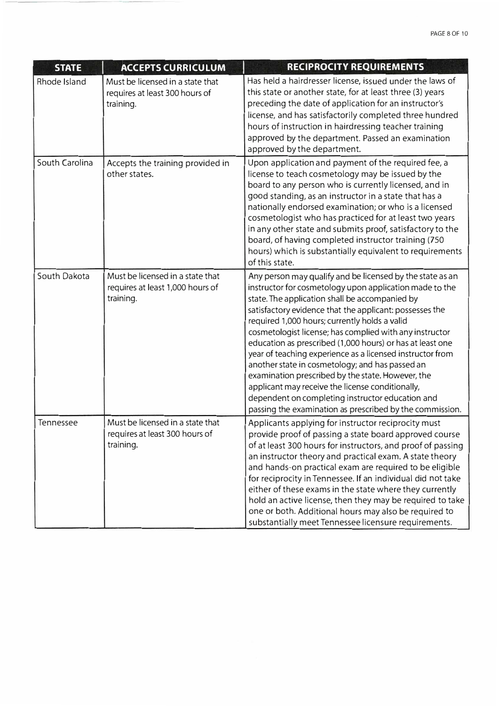| <b>STATE</b>   | <b>ACCEPTS CURRICULUM</b>                                                         | RECIPROCITY REQUIREMENTS                                                                                                                                                                                                                                                                                                                                                                                                                                                                                                                                                                                                                                                                                                                            |
|----------------|-----------------------------------------------------------------------------------|-----------------------------------------------------------------------------------------------------------------------------------------------------------------------------------------------------------------------------------------------------------------------------------------------------------------------------------------------------------------------------------------------------------------------------------------------------------------------------------------------------------------------------------------------------------------------------------------------------------------------------------------------------------------------------------------------------------------------------------------------------|
| Rhode Island   | Must be licensed in a state that<br>requires at least 300 hours of<br>training.   | Has held a hairdresser license, issued under the laws of<br>this state or another state, for at least three (3) years<br>preceding the date of application for an instructor's<br>license, and has satisfactorily completed three hundred<br>hours of instruction in hairdressing teacher training<br>approved by the department. Passed an examination<br>approved by the department.                                                                                                                                                                                                                                                                                                                                                              |
| South Carolina | Accepts the training provided in<br>other states.                                 | Upon application and payment of the required fee, a<br>license to teach cosmetology may be issued by the<br>board to any person who is currently licensed, and in<br>good standing, as an instructor in a state that has a<br>nationally endorsed examination; or who is a licensed<br>cosmetologist who has practiced for at least two years<br>in any other state and submits proof, satisfactory to the<br>board, of having completed instructor training (750)<br>hours) which is substantially equivalent to requirements<br>of this state.                                                                                                                                                                                                    |
| South Dakota   | Must be licensed in a state that<br>requires at least 1,000 hours of<br>training. | Any person may qualify and be licensed by the state as an<br>instructor for cosmetology upon application made to the<br>state. The application shall be accompanied by<br>satisfactory evidence that the applicant: possesses the<br>required 1,000 hours; currently holds a valid<br>cosmetologist license; has complied with any instructor<br>education as prescribed (1,000 hours) or has at least one<br>year of teaching experience as a licensed instructor from<br>another state in cosmetology; and has passed an<br>examination prescribed by the state. However, the<br>applicant may receive the license conditionally,<br>dependent on completing instructor education and<br>passing the examination as prescribed by the commission. |
| Tennessee      | Must be licensed in a state that<br>requires at least 300 hours of<br>training.   | Applicants applying for instructor reciprocity must<br>provide proof of passing a state board approved course<br>of at least 300 hours for instructors, and proof of passing<br>an instructor theory and practical exam. A state theory<br>and hands-on practical exam are required to be eligible<br>for reciprocity in Tennessee. If an individual did not take<br>either of these exams in the state where they currently<br>hold an active license, then they may be required to take<br>one or both. Additional hours may also be required to<br>substantially meet Tennessee licensure requirements.                                                                                                                                          |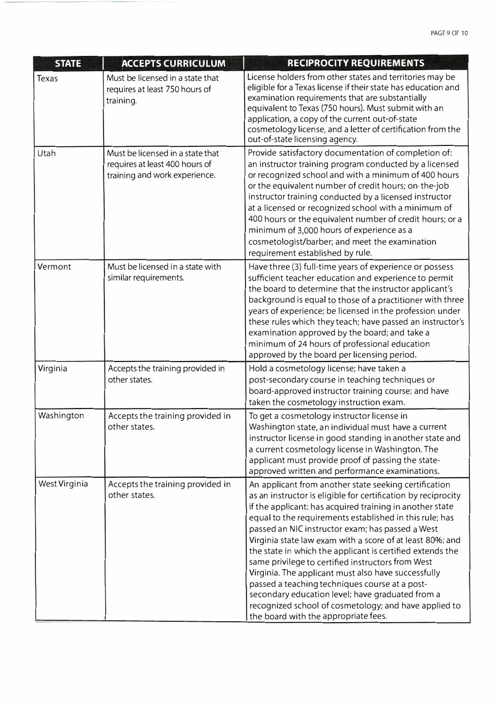| <b>STATE</b>         | <b>ACCEPTS CURRICULUM</b>                                                                           | RECIPROCITY REQUIREMENTS                                                                                                                                                                                                                                                                                                                                                                                                                                                                                                                                                                                                                                                                                                                       |
|----------------------|-----------------------------------------------------------------------------------------------------|------------------------------------------------------------------------------------------------------------------------------------------------------------------------------------------------------------------------------------------------------------------------------------------------------------------------------------------------------------------------------------------------------------------------------------------------------------------------------------------------------------------------------------------------------------------------------------------------------------------------------------------------------------------------------------------------------------------------------------------------|
| <b>Texas</b>         | Must be licensed in a state that<br>requires at least 750 hours of<br>training.                     | License holders from other states and territories may be<br>eligible for a Texas license if their state has education and<br>examination requirements that are substantially<br>equivalent to Texas (750 hours). Must submit with an<br>application, a copy of the current out-of-state<br>cosmetology license, and a letter of certification from the<br>out-of-state licensing agency.                                                                                                                                                                                                                                                                                                                                                       |
| <b>Utah</b>          | Must be licensed in a state that<br>requires at least 400 hours of<br>training and work experience. | Provide satisfactory documentation of completion of:<br>an instructor training program conducted by a licensed<br>or recognized school and with a minimum of 400 hours<br>or the equivalent number of credit hours; on-the-job<br>instructor training conducted by a licensed instructor<br>at a licensed or recognized school with a minimum of<br>400 hours or the equivalent number of credit hours; or a<br>minimum of 3,000 hours of experience as a<br>cosmetologist/barber; and meet the examination<br>requirement established by rule.                                                                                                                                                                                                |
| Vermont              | Must be licensed in a state with<br>similar requirements.                                           | Have three (3) full-time years of experience or possess<br>sufficient teacher education and experience to permit<br>the board to determine that the instructor applicant's<br>background is equal to those of a practitioner with three<br>years of experience; be licensed in the profession under<br>these rules which they teach; have passed an instructor's<br>examination approved by the board; and take a<br>minimum of 24 hours of professional education<br>approved by the board per licensing period.                                                                                                                                                                                                                              |
| Virginia             | Accepts the training provided in<br>other states.                                                   | Hold a cosmetology license; have taken a<br>post-secondary course in teaching techniques or<br>board-approved instructor training course; and have<br>taken the cosmetology instruction exam.                                                                                                                                                                                                                                                                                                                                                                                                                                                                                                                                                  |
| Washington           | Accepts the training provided in<br>other states.                                                   | To get a cosmetology instructor license in<br>Washington state, an individual must have a current<br>instructor license in good standing in another state and<br>a current cosmetology license in Washington. The<br>applicant must provide proof of passing the state-<br>approved written and performance examinations.                                                                                                                                                                                                                                                                                                                                                                                                                      |
| <b>West Virginia</b> | Accepts the training provided in<br>other states.                                                   | An applicant from another state seeking certification<br>as an instructor is eligible for certification by reciprocity<br>if the applicant: has acquired training in another state<br>equal to the requirements established in this rule; has<br>passed an NIC instructor exam; has passed a West<br>Virginia state law exam with a score of at least 80%; and<br>the state in which the applicant is certified extends the<br>same privilege to certified instructors from West<br>Virginia. The applicant must also have successfully<br>passed a teaching techniques course at a post-<br>secondary education level; have graduated from a<br>recognized school of cosmetology; and have applied to<br>the board with the appropriate fees. |

<u>A second department of the control of the control of the control of the control of the control of the control of the control of the control of the control of the control of the control of the control of the control of the</u>